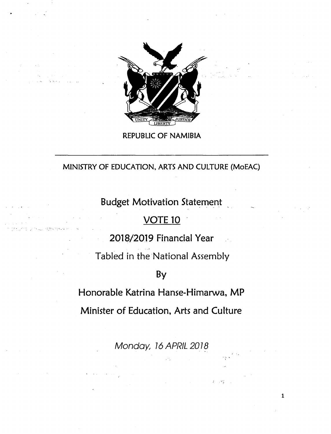

REPUBLIC OF NAMIBIA

# MINISTRY OF EDUCATION, ARTS AND CULTURE (MoEAC)

**Budget Motivation Statement** 

# **VOTE 10**

;:~"-'" ...., ..~'.

2018/2019 Financial Year

Tabled in the National Assembly

By

Honorable Katrina Hanse-Himarwa, MP

Minister of Education, Arts and Culture

*Monday, 16 APRIL 2018* 

 $\cdot$  .

1

~'.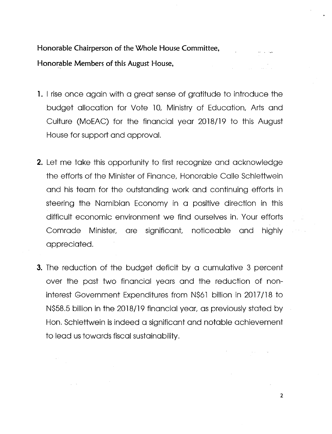**Honorable Chairperson of the Whole House Committee,** Honor~ble**Members of this August House,**

- **1.** I rise once again with a great sense of gratitude to introduce the budget allocation for Vote 10, Ministry of Education, Arts and Culture (MoEAC) for the financial year 2018/19 to this August House for support and approval.
- **2.** Let me take this opportunity to first recognize and acknowledge the efforts of the Minister of Finance, Honorable Calle Schlettwein and his team for the outstanding work and continuing efforts in steering the Namibian Economy in a positive direction in this difficult economic environment we find ourselves in. Your efforts Comrade Minister, are significant, noticeable and highly appreciated.
- **3.** The reduction of the budget deficit by a cumulative 3 percent over the past two financial years and the reduction of noninterest Government Expenditures from N\$61 billion in 2017/18 to N\$58.5 billion in the 2018/19 financial year, as previously stated by Hon. Schlettwein is indeed a significant and notable achievement to lead us towards fiscal sustainability.

2

 $\mathbb{R}^{n \times n}$  .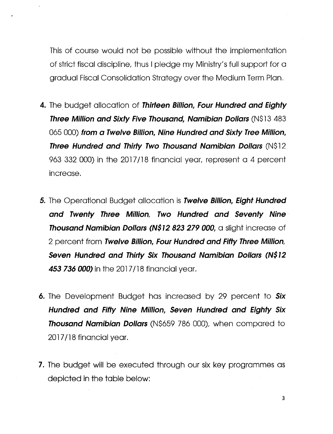This of course would not be possible without the implementation of strict fiscal discipline, thus I pledge my Ministry's full support for a gradual Fiscal Consolidation Strategy over the Medium Term Plan.

- **4.** The budget allocation of *Thirteen Billion, Four Hundred and Eighty Three Million and Sixty Five Thousand, Namibian Dollars* (N\$13 483 065 000) *from* **a** *Twelve Billion, Nine Hundred and Sixty Tree Million, Three Hundred and Thirty Two Thousand Namibian Dollars* (N\$12 963 332 000) in the 2017/18 financial year, represent a 4 percent increase.
- **5.** The Operational Budget allocation is *Twelve Billion, Eight Hundred and Twenty Three Million, Two Hundred and Seventy Nine Thousand Namibian Dollars (N\$12* **823 279** *ODD,* a slight increase of 2 percent from *Twelve Billion, Four Hundred and Fifty Three Million, Seven Hundred and Thirty Six Thousand Namibian Dollars (N\$12* **453 736** *000)* in the 2017/18 financial year.
- **6.** The Development Budget has increased by 29 percent to *Six Hundred and Fifty Nine Million, Seven Hundred and Eighty Six Thousand Namibian Dollars* (N\$659 786 ODD), when compared to 2017/18 financial year.
- 7. The budget will be executed through our six key programmes as depicted in the table below: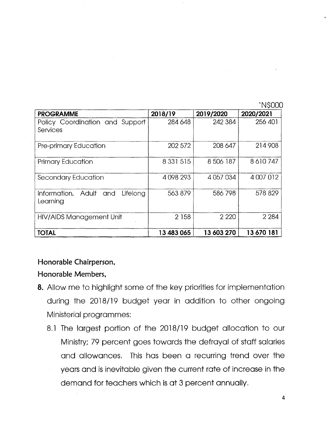'N\$OOO

| <b>PROGRAMME</b><br>الوائلي أورد المعادا             | 2018/19       | 2019/2020   | 2020/2021  |
|------------------------------------------------------|---------------|-------------|------------|
| Policy Coordination and Support<br>Services          | 284 648       | 242 384     | 256 401    |
| Pre-primary Education                                | 202 572       | 208 647     | 214 908    |
| <b>Primary Education</b>                             | 8 3 3 1 5 1 5 | 8 506 187   | 8610747    |
| Secondary Education                                  | 4098293       | 4 0 57 0 34 | 4 007 012  |
| Lifelong<br>Adult<br>Information,<br>and<br>Learning | 563 879       | 586798      | 578 829    |
| HIV/AIDS Management Unit                             | 2 1 5 8       | 2 2 2 0     | 2 2 8 4    |
| <b>TOTAL</b>                                         | 13 483 065    | 13 603 270  | 13 670 181 |

## **Honorable Chairperson,**

#### **Honorable Members,**

- **8.** Allow me to highlight some of the key priorities for implementation during the 2018/19 budget year in addition to other ongoing Ministerial programmes:
	- 8.1 The largest portion of the 2018/19 budget allocation to our Ministry;79 percent goes towards the defrayal of staff salaries and allowances. This has been a recurring trend over the years and is inevitable given the current rate of increase in the demand for teachers which is at 3 percent annually.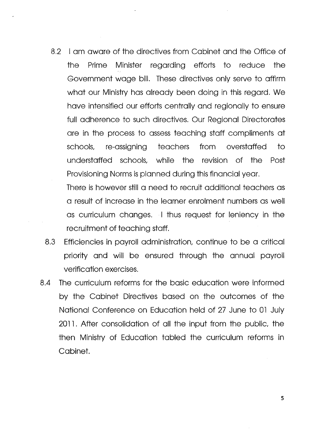8.2 I am aware of the directives from Cabinet and the Office of the Prime Minister regarding efforts to reduce the Government wage bill. These directives only serve to affirm what our Ministry has already been doing in this regard. We have intensified our efforts centrally and regionally to ensure full adherence to such directives. Our Regional Directorates are in the process to assess teaching staff compliments at schools, re-assigning teachers from overstaffed to understaffed schools, while the revision of the Post Provisioning Norms is planned during this financial year.

There is however still a need to recruit additional teachers as a result of increase in the learner enrolment numbers as well as curriculum changes. I thus request for leniency in the recruitment of teaching staff.

- 8.3 Efficiencies in payroll administration, continue to be a critical priority and will be ensured through the annual payroll verification exercises.
- 8.4 The curriculum reforms for the basic education were informed by the Cabinet Directives based on the outcomes of the National Conference on Education held of 27 June to 01 July 2011. After consolidation of all the input from the public, the then Ministry of Education tabled the curriculum reforms in Cabinet.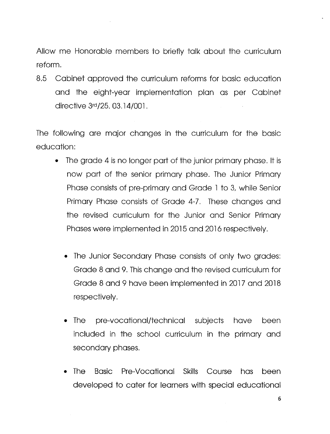Allow me Honorable members to briefly talk about the curriculum reform.

8.5 Cabinet approved the curriculum reforms for basic education and the eight-year implementation plan as per Cabinet directive 3rd/25. 03.14/001.

The following are major changes in the curriculum for the basic education:

- The grade 4 is no longer part of the junior primary phase. It is now part of the senior primary phase. The Junior Primary Phase consists of pre-primary and Grade 1 to 3, while Senior Primary Phase consists of Grade 4-7. These changes and the revised curriculum for the Junior and Senior Primary Phases were implemented in 2015 and 2016 respectively.
	- The Junior Secondary Phase consists of only two grades: Grade 8 and 9. Thischange and the revised curriculum for Grade 8 and 9 have been implemented in 2017 and 2018 respectively.
	- The pre-vocational/technical subjects have been included in the school curriculum in the primary and secondary phases.
	- The Basic Pre-Vocational Skills Course has been developed to cater for learners with special educational

6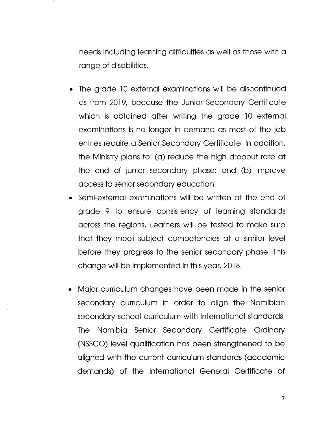needs including learning difficulties as well as those with a range of disabilities.

- The grade 10 external examinations will be discontinued as from 2019, because the Junior Secondary Certificate which is obtained after writing the grade 10 external examinations is no longer in demand as most of the job entries require a Senior Secondary Certificate. In addition, the Ministry plans to: (a) reduce the high dropout rate at the end of junior secondary phase; and (b) improve access to senior secondary education.
- Semi-external examinations will be written at the end of grade 9 to ensure consistency of learning standards across the regions. Learners will be tested to make sure that they meet subject competencies at a similar level before they progress to the senior secondary phase. This change will be implemented in thisyear, 2018.
- Major curriculum changes have been made in the senior secondary curriculum in order to align the Namibian secondary school curriculum with international standards. The Namibia Senior Secondary Certificate Ordinary (NSSCO) level qualification has been strengthened to be aligned with the current curriculum standards (academic demands) of the International General Certificate of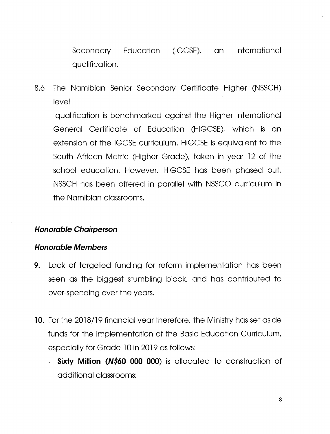Secondary Education (IGCSE), an international qualification.

8.6 The Namibian Senior Secondary Certificate Higher (NSSCH) level

qualification is benchmarked against the Higher International General Certificate of Education (HIGCSE), which is an extension of the IGCSE curriculum. HIGCSE is equivalent to the South African Matric (Higher Grade), taken in year 12 of the school education. However, HIGCSE has been phased out. NSSCH has been offered in parallel with NSSCO curriculum in the Namibian classrooms.

# *Honorable Chairperson*

## *Honorable Members*

- **9.** Lack of targeted funding for reform implementation has been seen as the biggest stumbling block, and has contributed to over-spending over the years.
- **10.** For the 2018/19 financial year therefore, the Ministry has set aside funds for the implementation of the Basic Education Curriculum, especially for Grade 10 in 2019 as follows:
	- **- Sixty Million** *(N\$60* **000 000)** is allocated to construction of additional classrooms;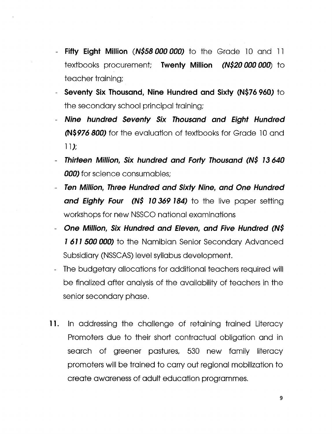- **- Fifty Eight Million** *(N\$58 ODDODD)* to the Grade 10 and 11 textbooks procurement; **Twenty Million** *(N\$2D ODD000)* to teacher training;
- **- Seventy Six Thousand, Nine Hundred and Sixty (N\$76960)** to the secondary school principal training;
- *- Nine hundred Seventy Six Thousand and Eight Hundred* **(N\$976800)** for the evaluation of textbooks for Grade 10 and 11);
- *- Thirteen Million, Six hundred and Forty Thousand (N\$* **73** *640 ODD* for science consumables;
- *- Ten Million, Three Hundred and Sixty Nine, and One Hundred and Eighty Four (N\$ 70* **369 784)** to the live paper setting workshops for new NSSCO national examinations
- *- One Million, Six Hundred and Eleven, and Five Hundred (N\$* **7 61 7** *SOD ODD)* to the Namibian Senior Secondary Advanced Subsidiary (NSSCAS) level syllabus development.
- The budgetary allocations for additional teachers required will be finalized after analysis of the availability of teachers in the senior secondary phase.
- **11.** In addressing the challenge of retaining trained Literacy Promoters due to their short contractual obligation and in search of greener pastures, 530 new family literacy promoters will be trained to carry out regional mobilization to create awareness of adult education programmes.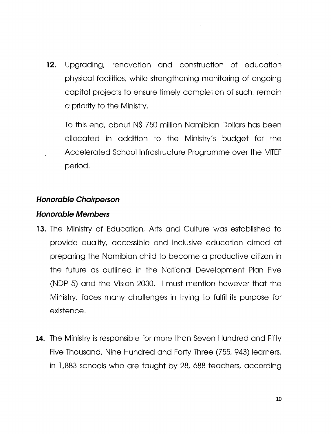**12.** Upgrading, renovation and construction of education physical facilities, while strengthening monitoring of ongoing capital projects to ensure timely completion of such, remain a priority to the Ministry.

To this end, about N\$ 750 million Namibian Dollarshas been allocated in addition to the Ministry's budget for the Accelerated School Infrastructure Programme over the MTEF period.

## *Honorable Chairperson*

#### *Honorable Members*

- **13.** The Ministry of Education, Arts and Culture was established to provide quality, accessible and inclusive education aimed at preparing the Namibian child to become a productive citizen in the future as outlined in the National Development Plan Five (NDP 5) and the Vision 2030. I must mention however that the Ministry, faces many challenges in trying to fulfil its purpose for existence.
- **14.** The Ministry is responsible for more than Seven Hundred and Fifty Five Thousand, Nine Hundred and Forty Three (755, 943) learners, in 1,883 schools who are taught by 28, 688 teachers, according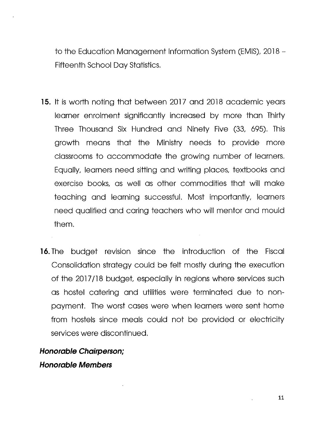to the Education Management Information System (EMIS), 2018 -Fifteenth School Day Statistics.

- **15.** It is worth noting that between 2017 and 2018 academic years learner enrolment significantly increased by more than Thirty Three Thousand Six Hundred and Ninety Five (33, 695). This growth means that the Ministry needs to provide more classrooms to accommodate the growing number of learners. Equally, learners need sitting and writing places, textbooks and exercise books, as well as other commodities that will make teaching and learning successful. Most importantly, learners need qualified and caring teachers who will mentor and mould them.
- **16.** The budget revision since the introduction of the Fiscal Consolidation strategy could be felt mostly during the execution of the 2017/18 budget, especially in regions where services such as hostel catering and utilities were terminated due to nonpayment. The worst cases were when learnerswere sent home from hostels since meals could not be provided or electricity services were discontinued.

*Honorable Chairperson; Honorable Members*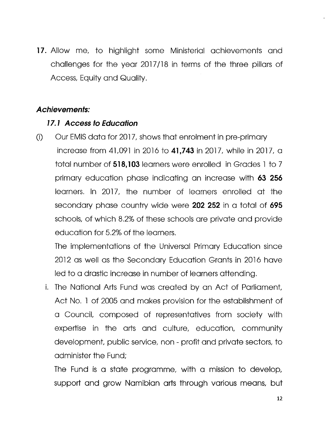**17.** Allow me, to highlight some Ministerial achievements and challenges for the year 2017/18 in terms of the three pillars of Access, Equity and Quality.

#### *Achievements:*

#### *17.1 Access to Education*

(i) Our EMIS data for 2017, shows that enrolment in pre-primary increase from 41,091 in 2016 to **41,743** in 2017, while in 2017, a total number of **518,103** learners were enrolled in Grades 1 to 7 primary education phase indicating an increase with **63 256** learners. In 2017, the number of learners enrolled at the secondary phase country wide were **202 252** in a total of **695** schools, of which 8.2% of these schools are private and provide education for 5.2% of the learners.

The implementations of the Universal Primary Education since 2012 as well as the Secondary Education Grants in 2016 have led to a drastic increase in number of learners attending.

i. The National Arts Fund was created by an Act of Parliament, Act No. 1 of 2005 and makes provision for the establishment of a Council, composed of representatives from society with expertise in the arts and culture, education, community development, public service, non - profit and private sectors, to administer the Fund;

The Fund is a state programme, with a mission to develop, support and grow Namibian arts through various means, but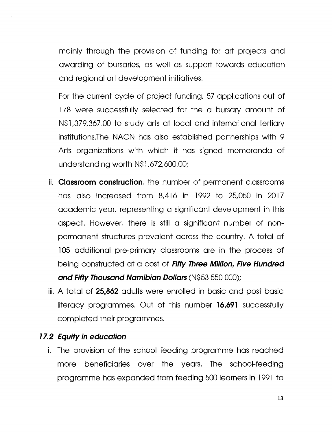mainly through the provision of funding for art projects and awarding of bursaries, as well as support towards education and regional art development initiatives.

For the current cycle of project funding, 57 applications out of 178 were successfully selected for the a bursary amount of N\$1,379,367.00 to study arts at local and international tertiary institutions. The NACN has also established partnerships with 9 Arts organizations with which it has signed memoranda of understanding worth N\$l,672,600.00;

- ii. **Classroom construction,** the number of permanent classrooms has also increased from 8,416 in 1992 to 25,050 in 2017 academic year, representing a significant development in this aspect. However, there is still a significant number of nonpermanent structures prevalent across the country. A total of 105 additional pre-primary classrooms are in the process of being constructed at a cost of *Fifty Three Million, Five Hundred and Fifty Thousand Namibian Dollars* (N\$53550000);
- iii. A total of **25,862** adults were enrolled in basic and post basic literacy programmes. Out of this number **16,691** successfully completed their programmes.

## *77.2 Equity in education*

i. The provision of the school feeding programme has reached more beneficiaries over the years. The school-feeding programme has expanded from feeding 500 learners in 1991 to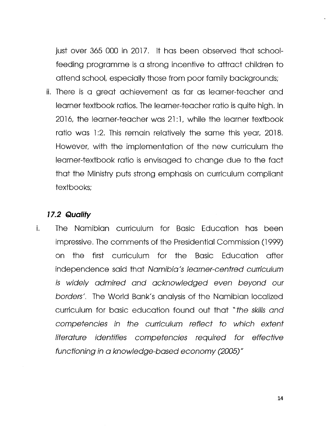just over 365 000 in 2017. It has been observed that schoolfeeding programme is a strong incentive to attract children to attend school, especially those from poor family backgrounds;

ii. There is a great achievement as far as learner-teacher and learner textbook ratios. The learner-teacher ratio is quite high. In 2016, the learner-teacher was 21:1, while the learner textbook ratio was 1:2. This remain relatively the same this year, 2018. However, with the implementation of the new curriculum the learner-textbook ratio is envisaged to change due to the fact that the Ministry puts strong emphasis on curriculum compliant textbooks;

# *17.2 Quality*

i. The Namibian curriculum for Basic Education has been impressive. The comments of the Presidential Commission (1999) on the first curriculum for the Basic Education after independence said that *Namibia /*s *learner-centred curriculum is widely admired and acknowledged even beyond our botdets'.* The World Bank's analysis of the Namibian localized curriculum for basic education found out that *"the skillsand competencies in the curriculum reflect to which extent literature identifies competencies required for effective* functioning in a knowledge-based economy (2005)"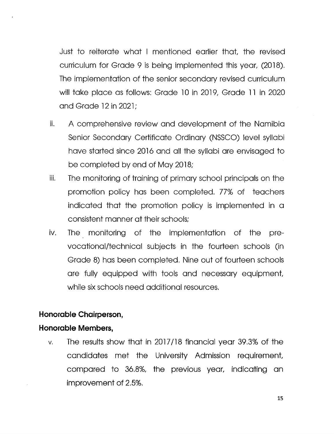Just to reiterate what I mentioned earlier that, the revised curriculum for Grade 9 is being implemented this year, (2018). The implementation of the senior secondary revised curriculum will take place as follows: Grade lOin 2019,Grade **<sup>11</sup>** in 2020 and Grade 12in 2021;

- ii. A comprehensive review and development of the Namibia Senior Secondary Certificate Ordinary (NSSCO) level syllabi have started since 2016 and all the syllabi are envisaged to be completed by end of May 2018;
- ill. The monitoring of training of primary school principals on the promotion policy has been completed. 77% of teachers indicated that the promotion policy is implemented in a consistent manner at their schools;
- iv. The monitoring of the implementation of the prevocational/technical subjects in the fourteen schools (in Grade 8) has been completed. Nine out of fourteen schools are fully equipped with tools and necessary equipment while six schools need additional resources.

## **Honorable Chairperson,**

## **Honorable Members,**

 $v.$  The results show that in 2017/18 financial year 39.3% of the candidates met the University Admission requirement compared to 36.8%, the previous year, indicating an improvement of 2.5%.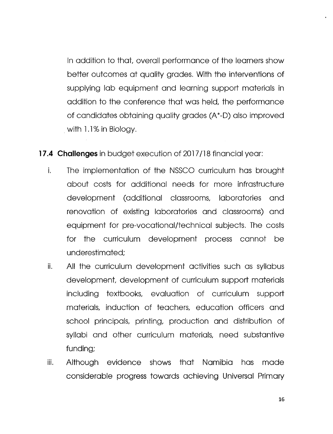In addition to that, overall performance of the learners show better outcomes at quality grades. With the interventions of supplying lab equipment and learning support materials in addition to the conference that was held, the performance of candidates obtaining quality grades (A\*-D) also improved .with 1.1% in Biology.

**17.4 Challenges** in budget execution of 2017/18 financial year:

- i. The implementation of the NSSCO curriculum has brought about costs for additional needs for more infrastructure development (additional classrooms, laboratories and renovation of existing laboratories and classrooms) and equipment for pre-vocational/technical subjects. The costs for the curriculum development process cannot be underestimated;
- ii. All the curriculum development activities such as syllabus development, development of curriculum support materials including textbooks, evaluation of curriculum support materials, induction of teachers, education officers and school principals, printing, production and distribution of syllabi and other curriculum materials, need substantive funding;
- iii. Although evidence shows that Namibia has made considerable progress towards achieving Universal Primary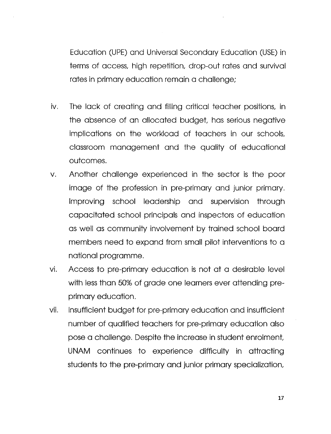Education (UPE) and Universal Secondary Education (USE) in terms of access, high repetition, drop-out rates and survival rates in primary education remain a challenge;

- iv. The lack of creating and filling critical teacher positions, in the absence of an allocated budget, has serious negative implications on the workload of teachers in our schools, classroom management and the quality of educational outcomes.
- v. Another challenge experienced in the sector is the poor image of the profession in pre-primary and junior primary. Improving school leadership and supervision through capacitated school principals and inspectors of education as well as community involvement by trained school board members need to expand from small pilot interventions to a national programme.
- vi. Access to pre-primary education is not at a desirable level with less than 50% of grade one learners ever attending preprimary education.
- vii. Insufficient budget for pre-primary education and insufficient number of qualified teachers for pre-primary education also pose a challenge. Despite the increase in student enrolment, UNAM continues to experience difficulty in attracting students to the pre-primary and junior primary specialization,

17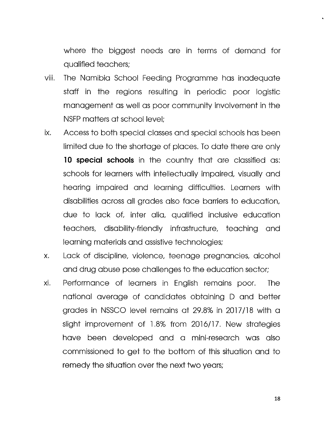where the biggest needs are in terms of demand for qualified teachers;

- viii. The Namibia School Feeding Programme has inadequate staff in the regions resulting in periodic poor logistic management as well as poor community involvement in the NSFP matters at school level;
- ix. Access to both special classes and special schools has been limited due to the shortage of places. To date there are only **10 special schools** in the country that are classified as: schools for learners with intellectually impaired, visually and hearing impaired and learning difficulties. Learners with disabilities across all grades also face barriers to education, due to lack of, inter alia, qualified inclusive education teachers, disability-friendly infrastructure, teaching and learning materials and assistive technologies;
- x. Lack of discipline, violence, teenage pregnancies, alcohol and drug abuse pose challenges to the education sector;
- xi. Performance of learners in English remains poor. The notional average of candidates obtaining 0 and better grades in NSSCO level remains at 29.8% in 2017/18 with a slight improvement of 1.8% from 2016/17. New strategies have been developed and a mini-research was also commissioned to get to the bottom of this situation and to remedy the situation over the next two years;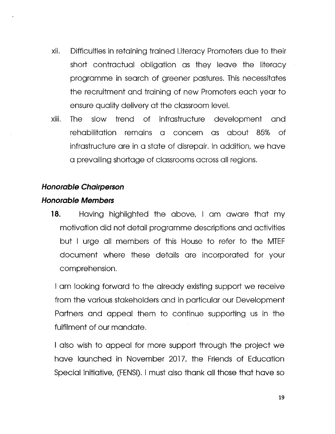- xii. Difficulties in retaining trained Literacy Promoters due to their short contractual obligation as they leave the literacy programme in search of greener pastures. This necessitates the recruitment and training of new Promoters each year to ensure quality delivery at the classroom level.
- xiii. The slow trend of infrastructure development and rehabilitation remains a concern as about 85% of infrastructure are in a state of disrepair. In addition, we have a prevailing shortage of classroomsacrossall regions.

#### *Honorable Chairperson*

#### *Honorable Members*

**18.** Having highlighted the above, I am aware that my motivation did not detail programme descriptions and activities but I urge all members of this House to refer to the MTEF document where these details are incorporated for your comprehension.

I am looking forward to the already existing support we receive from the various stakeholders and in particular our Development Partners and appeal them to continue supporting us in the fulfilment of our mandate.

I also wish to appeal for more support through the project we have launched in November 2017, the Friends of Education Special Initiative, (FENSI). I must also thank all those that have so